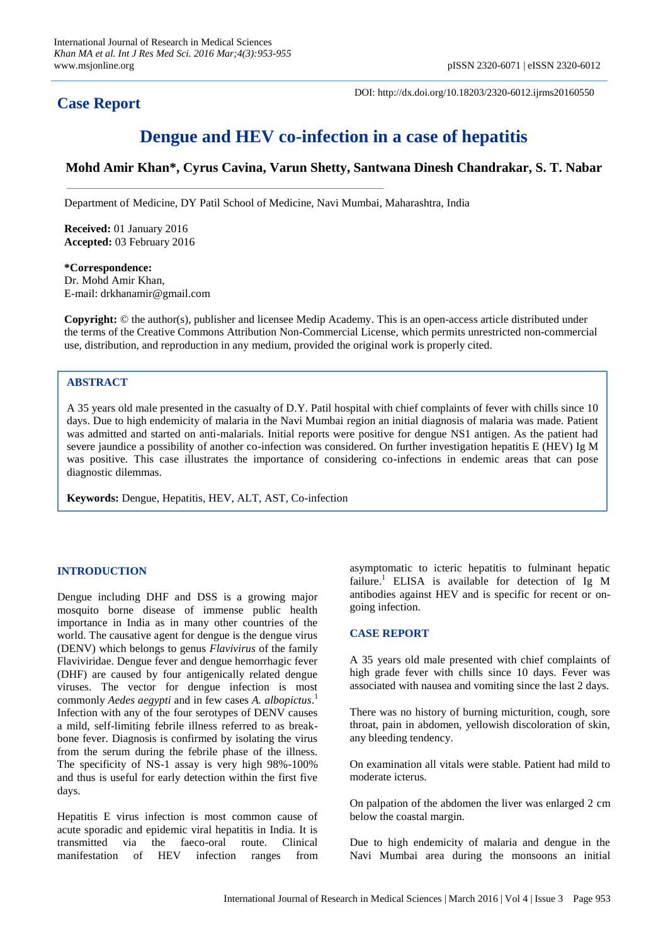# **Case Report**

DOI: http://dx.doi.org/10.18203/2320-6012.ijrms20160550

# **Dengue and HEV co-infection in a case of hepatitis**

# **Mohd Amir Khan\*, Cyrus Cavina, Varun Shetty, Santwana Dinesh Chandrakar, S. T. Nabar**

Department of Medicine, DY Patil School of Medicine, Navi Mumbai, Maharashtra, India

**Received:** 01 January 2016 **Accepted:** 03 February 2016

**\*Correspondence:** Dr. Mohd Amir Khan, E-mail: drkhanamir@gmail.com

**Copyright:** © the author(s), publisher and licensee Medip Academy. This is an open-access article distributed under the terms of the Creative Commons Attribution Non-Commercial License, which permits unrestricted non-commercial use, distribution, and reproduction in any medium, provided the original work is properly cited.

# **ABSTRACT**

A 35 years old male presented in the casualty of D.Y. Patil hospital with chief complaints of fever with chills since 10 days. Due to high endemicity of malaria in the Navi Mumbai region an initial diagnosis of malaria was made. Patient was admitted and started on anti-malarials. Initial reports were positive for dengue NS1 antigen. As the patient had severe jaundice a possibility of another co-infection was considered. On further investigation hepatitis E (HEV) Ig M was positive. This case illustrates the importance of considering co-infections in endemic areas that can pose diagnostic dilemmas.

**Keywords:** Dengue, Hepatitis, HEV, ALT, AST, Co-infection

# **INTRODUCTION**

Dengue including DHF and DSS is a growing major mosquito borne disease of immense public health importance in India as in many other countries of the world. The causative agent for dengue is the dengue virus (DENV) which belongs to genus *Flavivirus* of the family Flaviviridae. Dengue fever and dengue hemorrhagic fever (DHF) are caused by four antigenically related dengue viruses. The vector for dengue infection is most commonly *Aedes aegypti* and in few cases *A. albopictus*. 1 Infection with any of the four serotypes of DENV causes a mild, self-limiting febrile illness referred to as breakbone fever. Diagnosis is confirmed by isolating the virus from the serum during the febrile phase of the illness. The specificity of NS-1 assay is very high 98%-100% and thus is useful for early detection within the first five days.

Hepatitis E virus infection is most common cause of acute sporadic and epidemic viral hepatitis in India. It is transmitted via the faeco-oral route. Clinical manifestation of HEV infection ranges from asymptomatic to icteric hepatitis to fulminant hepatic failure.<sup>1</sup> ELISA is available for detection of Ig M antibodies against HEV and is specific for recent or ongoing infection.

# **CASE REPORT**

A 35 years old male presented with chief complaints of high grade fever with chills since 10 days. Fever was associated with nausea and vomiting since the last 2 days.

There was no history of burning micturition, cough, sore throat, pain in abdomen, yellowish discoloration of skin, any bleeding tendency.

On examination all vitals were stable. Patient had mild to moderate icterus.

On palpation of the abdomen the liver was enlarged 2 cm below the coastal margin.

Due to high endemicity of malaria and dengue in the Navi Mumbai area during the monsoons an initial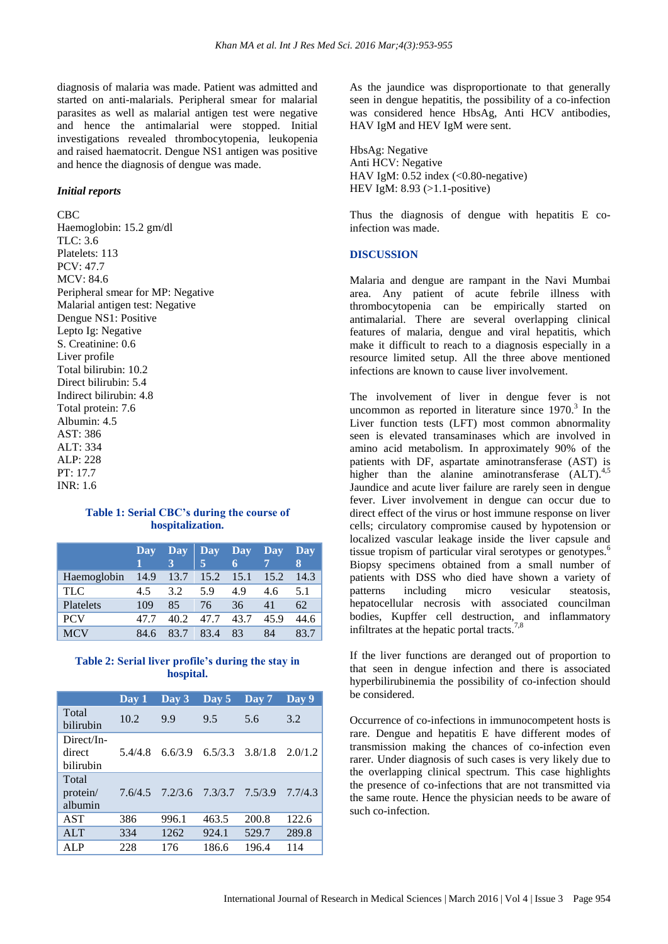diagnosis of malaria was made. Patient was admitted and started on anti-malarials. Peripheral smear for malarial parasites as well as malarial antigen test were negative and hence the antimalarial were stopped. Initial investigations revealed thrombocytopenia, leukopenia and raised haematocrit. Dengue NS1 antigen was positive and hence the diagnosis of dengue was made.

#### *Initial reports*

CBC Haemoglobin: 15.2 gm/dl TLC: 3.6 Platelets: 113 PCV: 47.7 MCV: 84.6 Peripheral smear for MP: Negative Malarial antigen test: Negative Dengue NS1: Positive Lepto Ig: Negative S. Creatinine: 0.6 Liver profile Total bilirubin: 10.2 Direct bilirubin: 5.4 Indirect bilirubin: 4.8 Total protein: 7.6 Albumin: 4.5 AST: 386 ALT: 334 ALP: 228 PT: 17.7 INR: 1.6

## **Table 1: Serial CBC's during the course of hospitalization.**

|             | Day  | Day  | Day  | <b>Day</b> | Day  | Day  |
|-------------|------|------|------|------------|------|------|
|             |      |      | 5    |            |      | 8    |
| Haemoglobin | 14.9 | 13.7 | 15.2 | 15.1       | 15.2 | 14.3 |
| <b>TLC</b>  | 45   | 3.2  | 5.9  | 4.9        | 4.6  | 5.1  |
| Platelets   | 109  | 85   | 76   | 36         | 41   | 62   |
| <b>PCV</b>  | 47 7 | 40 2 | 47.7 | 43.7       | 45.9 | 44.6 |
| <b>MCV</b>  | 84.6 | 83.7 | 83.4 | 83         | 84   |      |

## **Table 2: Serial liver profile's during the stay in hospital.**

|                                   | $\bf Day 1$ | Day 3   | Day 5   | Day 7   | Day 9   |
|-----------------------------------|-------------|---------|---------|---------|---------|
| Total<br>bilirubin                | 10.2        | 9.9     | 9.5     | 5.6     | 3.2     |
| Direct/In-<br>direct<br>bilirubin | 5.4/4.8     | 6.6/3.9 | 6.5/3.3 | 3.8/1.8 | 2.0/1.2 |
| Total<br>protein/<br>albumin      | 7.6/4.5     | 7.2/3.6 | 7.3/3.7 | 7.5/3.9 | 7.7/4.3 |
| <b>AST</b>                        | 386         | 996.1   | 463.5   | 200.8   | 122.6   |
| AI.T                              | 334         | 1262    | 924.1   | 529.7   | 289.8   |
| <b>ALP</b>                        | 228         | 176     | 186.6   | 196.4   | 114     |

As the jaundice was disproportionate to that generally seen in dengue hepatitis, the possibility of a co-infection was considered hence HbsAg, Anti HCV antibodies, HAV IgM and HEV IgM were sent.

HbsAg: Negative Anti HCV: Negative HAV IgM:  $0.52$  index (< $0.80$ -negative) HEV IgM: 8.93 (>1.1-positive)

Thus the diagnosis of dengue with hepatitis E coinfection was made.

#### **DISCUSSION**

Malaria and dengue are rampant in the Navi Mumbai area. Any patient of acute febrile illness with thrombocytopenia can be empirically started on antimalarial. There are several overlapping clinical features of malaria, dengue and viral hepatitis, which make it difficult to reach to a diagnosis especially in a resource limited setup. All the three above mentioned infections are known to cause liver involvement.

The involvement of liver in dengue fever is not uncommon as reported in literature since  $1970$ .<sup>3</sup> In the Liver function tests (LFT) most common abnormality seen is elevated transaminases which are involved in amino acid metabolism. In approximately 90% of the patients with DF, aspartate aminotransferase (AST) is higher than the alanine aminotransferase  $(ALT)^{4,5}$ Jaundice and acute liver failure are rarely seen in dengue fever. Liver involvement in dengue can occur due to direct effect of the virus or host immune response on liver cells; circulatory compromise caused by hypotension or localized vascular leakage inside the liver capsule and tissue tropism of particular viral serotypes or genotypes.<sup>6</sup> Biopsy specimens obtained from a small number of patients with DSS who died have shown a variety of patterns including micro vesicular steatosis, hepatocellular necrosis with associated councilman bodies, Kupffer cell destruction, and inflammatory infiltrates at the hepatic portal tracts.<sup>7,8</sup>

If the liver functions are deranged out of proportion to that seen in dengue infection and there is associated hyperbilirubinemia the possibility of co-infection should be considered.

Occurrence of co-infections in immunocompetent hosts is rare. Dengue and hepatitis E have different modes of transmission making the chances of co-infection even rarer. Under diagnosis of such cases is very likely due to the overlapping clinical spectrum. This case highlights the presence of co-infections that are not transmitted via the same route. Hence the physician needs to be aware of such co-infection.